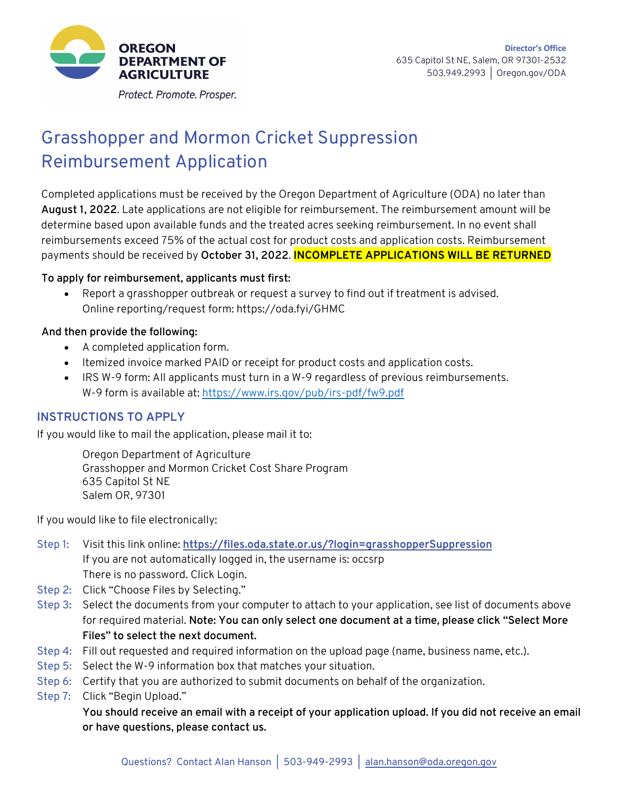

Protect. Promote. Prosper.

# Grasshopper and Mormon Cricket Suppression Reimbursement Application

Completed applications must be received by the Oregon Department of Agriculture (ODA) no later than **August 1, 2022**. Late applications are not eligible for reimbursement. The reimbursement amount will be determine based upon available funds and the treated acres seeking reimbursement. In no event shall reimbursements exceed 75% of the actual cost for product costs and application costs. Reimbursement payments should be received by **October 31, 2022**. **INCOMPLETE APPLICATIONS WILL BE RETURNED**

#### **To apply for reimbursement, applicants must first:**

• Report a grasshopper outbreak or request a survey to find out if treatment is advised. Online reporting/request form: https://oda.fyi/GHMC

### **And then provide the following:**

- A completed application form.
- Itemized invoice marked PAID or receipt for product costs and application costs.
- IRS W-9 form: All applicants must turn in a W-9 regardless of previous reimbursements. W-9 form is available at: https://www.irs.gov/pub/irs-pdf/fw9.pdf

### **INSTRUCTIONS TO APPLY**

If you would like to mail the application, please mail it to:

Oregon Department of Agriculture Grasshopper and Mormon Cricket Cost Share Program 635 Capitol St NE Salem OR, 97301

If you would like to file electronically:

- Step 1: Visit this link online: **https://files.oda.state.or.us/?login=grasshopperSuppression** If you are not automatically logged in, the username is: occsrp There is no password. Click Login.
- Step 2: Click "Choose Files by Selecting."
- Step 3**:** Select the documents from your computer to attach to your application, see list of documents above for required material. **Note: You can only select one document at a time, please click "Select More Files" to select the next document.**
- Step 4: Fill out requested and required information on the upload page (name, business name, etc.).
- Step 5: Select the W-9 information box that matches your situation.
- Step 6: Certify that you are authorized to submit documents on behalf of the organization.
- Step 7: Click "Begin Upload."

**You should receive an email with a receipt of your application upload. If you did not receive an email or have questions, please contact us.**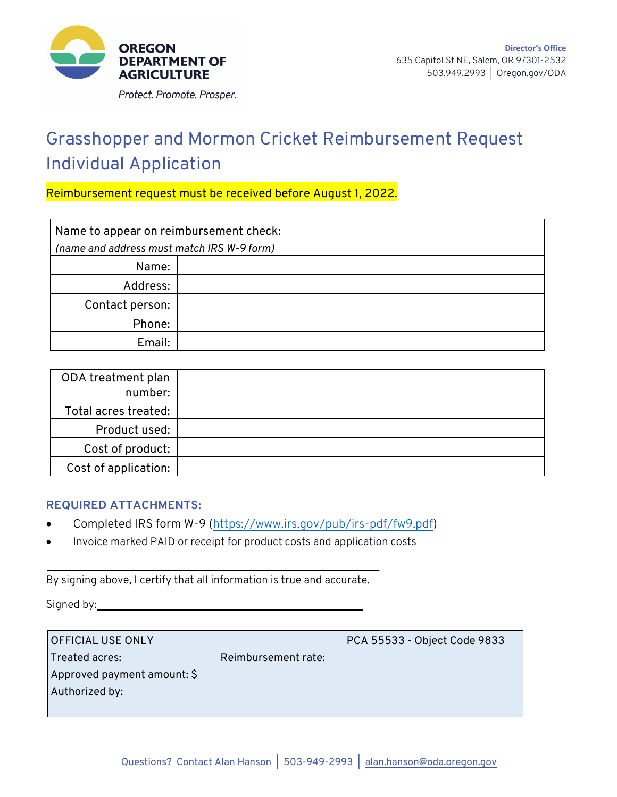

# Grasshopper and Mormon Cricket Reimbursement Request Individual Application

### Reimbursement request must be received before August 1, 2022.

| Name to appear on reimbursement check:     |  |  |
|--------------------------------------------|--|--|
| (name and address must match IRS W-9 form) |  |  |
| Name:                                      |  |  |
| Address:                                   |  |  |
| Contact person:                            |  |  |
| Phone:                                     |  |  |
| Email:                                     |  |  |

| ODA treatment plan   |  |
|----------------------|--|
| number:              |  |
| Total acres treated: |  |
| Product used:        |  |
| Cost of product:     |  |
| Cost of application: |  |

#### **REQUIRED ATTACHMENTS:**

- Completed IRS form W-9 (https://www.irs.gov/pub/irs-pdf/fw9.pdf)
- Invoice marked PAID or receipt for product costs and application costs

By signing above, I certify that all information is true and accurate.

Signed by:

OFFICIAL USE ONLY PCA 55533 - Object Code 9833 Treated acres: Reimbursement rate: Approved payment amount: \$ Authorized by: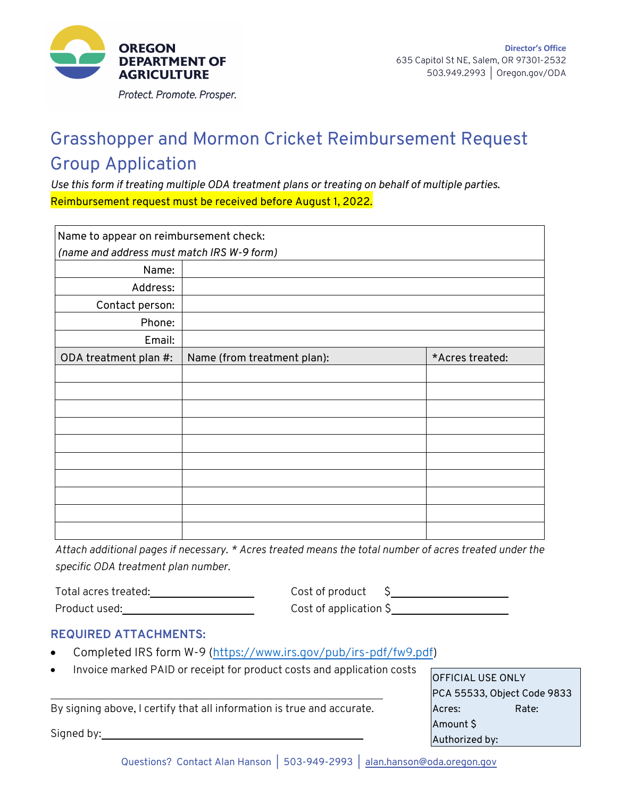

## Grasshopper and Mormon Cricket Reimbursement Request Group Application

*Use this form if treating multiple ODA treatment plans or treating on behalf of multiple parties*. Reimbursement request must be received before August 1, 2022.

| Name to appear on reimbursement check:     |                             |                 |  |  |
|--------------------------------------------|-----------------------------|-----------------|--|--|
| (name and address must match IRS W-9 form) |                             |                 |  |  |
| Name:                                      |                             |                 |  |  |
| Address:                                   |                             |                 |  |  |
| Contact person:                            |                             |                 |  |  |
| Phone:                                     |                             |                 |  |  |
| Email:                                     |                             |                 |  |  |
| ODA treatment plan #:                      | Name (from treatment plan): | *Acres treated: |  |  |
|                                            |                             |                 |  |  |
|                                            |                             |                 |  |  |
|                                            |                             |                 |  |  |
|                                            |                             |                 |  |  |
|                                            |                             |                 |  |  |
|                                            |                             |                 |  |  |
|                                            |                             |                 |  |  |
|                                            |                             |                 |  |  |
|                                            |                             |                 |  |  |
|                                            |                             |                 |  |  |

*Attach additional pages if necessary. \* Acres treated means the total number of acres treated under the specific ODA treatment plan number.*

| Total acres treated: | Cost of product        |
|----------------------|------------------------|
| Product used:        | Cost of application \$ |

### **REQUIRED ATTACHMENTS:**

- Completed IRS form W-9 (https://www.irs.gov/pub/irs-pdf/fw9.pdf)
- Invoice marked PAID or receipt for product costs and application costs

By signing above, I certify that all information is true and accurate.

Signed by:

| OFFICIAL USE ONLY           |       |  |
|-----------------------------|-------|--|
| PCA 55533, Object Code 9833 |       |  |
| Acres:                      | Rate: |  |
| Amount \$                   |       |  |
| Authorized by:              |       |  |